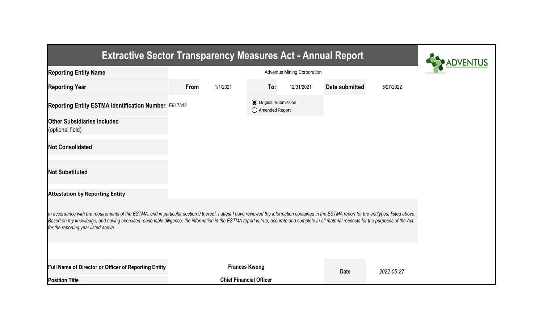| <b>Extractive Sector Transparency Measures Act - Annual Report</b>                                                                                                                                                                                                                                                                                                                                                                    |      |                                |                                                  |            |                |            |  |
|---------------------------------------------------------------------------------------------------------------------------------------------------------------------------------------------------------------------------------------------------------------------------------------------------------------------------------------------------------------------------------------------------------------------------------------|------|--------------------------------|--------------------------------------------------|------------|----------------|------------|--|
| <b>Reporting Entity Name</b>                                                                                                                                                                                                                                                                                                                                                                                                          |      |                                |                                                  |            |                |            |  |
| <b>Reporting Year</b>                                                                                                                                                                                                                                                                                                                                                                                                                 | From | 1/1/2021                       | To:                                              | 12/31/2021 | Date submitted | 5/27/2022  |  |
| Reporting Entity ESTMA Identification Number E917312                                                                                                                                                                                                                                                                                                                                                                                  |      |                                | <b>⊙</b> Original Submission<br>◯ Amended Report |            |                |            |  |
| <b>Other Subsidiaries Included</b><br>(optional field)                                                                                                                                                                                                                                                                                                                                                                                |      |                                |                                                  |            |                |            |  |
| <b>Not Consolidated</b>                                                                                                                                                                                                                                                                                                                                                                                                               |      |                                |                                                  |            |                |            |  |
| <b>Not Substituted</b>                                                                                                                                                                                                                                                                                                                                                                                                                |      |                                |                                                  |            |                |            |  |
| <b>Attestation by Reporting Entity</b>                                                                                                                                                                                                                                                                                                                                                                                                |      |                                |                                                  |            |                |            |  |
| In accordance with the requirements of the ESTMA, and in particular section 9 thereof, I attest I have reviewed the information contained in the ESTMA report for the entity(ies) listed above.<br>Based on my knowledge, and having exercised reasonable diligence, the information in the ESTMA report is true, accurate and complete in all material respects for the purposes of the Act,<br>for the reporting year listed above. |      |                                |                                                  |            |                |            |  |
|                                                                                                                                                                                                                                                                                                                                                                                                                                       |      |                                |                                                  |            |                |            |  |
| Full Name of Director or Officer of Reporting Entity                                                                                                                                                                                                                                                                                                                                                                                  |      | <b>Frances Kwong</b>           |                                                  |            | <b>Date</b>    | 2022-05-27 |  |
| <b>Position Title</b>                                                                                                                                                                                                                                                                                                                                                                                                                 |      | <b>Chief Financial Officer</b> |                                                  |            |                |            |  |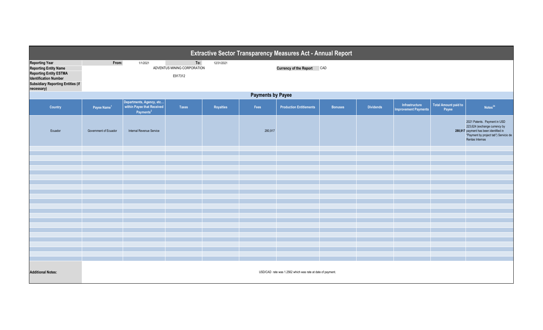| <b>Extractive Sector Transparency Measures Act - Annual Report</b>                                                                                                               |                         |                                                                                 |                                               |            |         |                                                            |                |                  |                                               |                                      |                                                                                                                                                                     |
|----------------------------------------------------------------------------------------------------------------------------------------------------------------------------------|-------------------------|---------------------------------------------------------------------------------|-----------------------------------------------|------------|---------|------------------------------------------------------------|----------------|------------------|-----------------------------------------------|--------------------------------------|---------------------------------------------------------------------------------------------------------------------------------------------------------------------|
| <b>Reporting Year</b><br><b>Reporting Entity Name</b><br><b>Reporting Entity ESTMA</b><br><b>Identification Number</b><br><b>Subsidiary Reporting Entities (if</b><br>necessary) | From:                   | 1/1/2021                                                                        | To:<br>ADVENTUS MINING CORPORATION<br>E917312 | 12/31/2021 |         | <b>Currency of the Report</b>                              | CAD            |                  |                                               |                                      |                                                                                                                                                                     |
| <b>Payments by Payee</b>                                                                                                                                                         |                         |                                                                                 |                                               |            |         |                                                            |                |                  |                                               |                                      |                                                                                                                                                                     |
| <b>Country</b>                                                                                                                                                                   | Payee Name <sup>1</sup> | Departments, Agency, etc<br>within Payee that Received<br>Payments <sup>2</sup> | <b>Taxes</b>                                  | Royalties  | Fees    | <b>Production Entitlements</b>                             | <b>Bonuses</b> | <b>Dividends</b> | Infrastructure<br><b>Improvement Payments</b> | <b>Total Amount paid to</b><br>Payee | Notes <sup>34</sup>                                                                                                                                                 |
| Ecuador                                                                                                                                                                          | Government of Ecuador   | Internal Revenue Service                                                        |                                               |            | 280,917 |                                                            |                |                  |                                               |                                      | 2021 Patents. Payment in USD<br>223,624 (exchange currency by<br>280,917 payment has been identified in<br>"Payment by project tab") Servicio de<br>Rentas Internas |
|                                                                                                                                                                                  |                         |                                                                                 |                                               |            |         |                                                            |                |                  |                                               |                                      |                                                                                                                                                                     |
|                                                                                                                                                                                  |                         |                                                                                 |                                               |            |         |                                                            |                |                  |                                               |                                      |                                                                                                                                                                     |
|                                                                                                                                                                                  |                         |                                                                                 |                                               |            |         |                                                            |                |                  |                                               |                                      |                                                                                                                                                                     |
|                                                                                                                                                                                  |                         |                                                                                 |                                               |            |         |                                                            |                |                  |                                               |                                      |                                                                                                                                                                     |
|                                                                                                                                                                                  |                         |                                                                                 |                                               |            |         |                                                            |                |                  |                                               |                                      |                                                                                                                                                                     |
|                                                                                                                                                                                  |                         |                                                                                 |                                               |            |         |                                                            |                |                  |                                               |                                      |                                                                                                                                                                     |
|                                                                                                                                                                                  |                         |                                                                                 |                                               |            |         |                                                            |                |                  |                                               |                                      |                                                                                                                                                                     |
|                                                                                                                                                                                  |                         |                                                                                 |                                               |            |         |                                                            |                |                  |                                               |                                      |                                                                                                                                                                     |
|                                                                                                                                                                                  |                         |                                                                                 |                                               |            |         |                                                            |                |                  |                                               |                                      |                                                                                                                                                                     |
|                                                                                                                                                                                  |                         |                                                                                 |                                               |            |         |                                                            |                |                  |                                               |                                      |                                                                                                                                                                     |
|                                                                                                                                                                                  |                         |                                                                                 |                                               |            |         |                                                            |                |                  |                                               |                                      |                                                                                                                                                                     |
|                                                                                                                                                                                  |                         |                                                                                 |                                               |            |         |                                                            |                |                  |                                               |                                      |                                                                                                                                                                     |
|                                                                                                                                                                                  |                         |                                                                                 |                                               |            |         |                                                            |                |                  |                                               |                                      |                                                                                                                                                                     |
|                                                                                                                                                                                  |                         |                                                                                 |                                               |            |         |                                                            |                |                  |                                               |                                      |                                                                                                                                                                     |
|                                                                                                                                                                                  |                         |                                                                                 |                                               |            |         |                                                            |                |                  |                                               |                                      |                                                                                                                                                                     |
| <b>Additional Notes:</b>                                                                                                                                                         |                         |                                                                                 |                                               |            |         | USD/CAD rate was 1.2562 which was rate at date of payment. |                |                  |                                               |                                      |                                                                                                                                                                     |